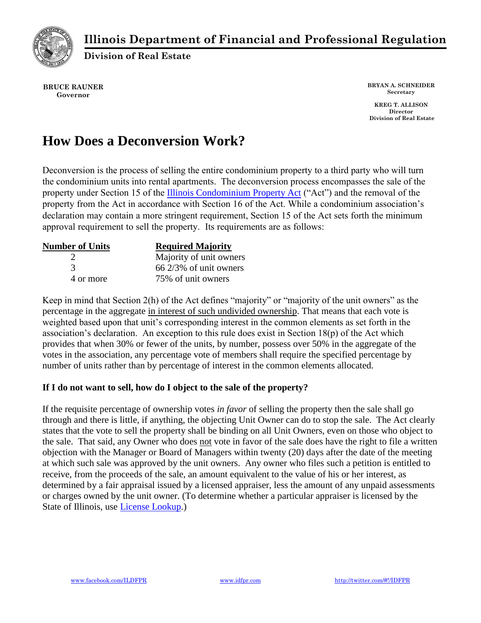

## **Illinois Department of Financial and Professional Regulation**

**Division of Real Estate**

**BRUCE RAUNER Governor**

**BRYAN A. SCHNEIDER Secretary**

**KREG T. ALLISON Director Division of Real Estate**

# **How Does a Deconversion Work?**

[Deconversion is the process of selling the entire condominium property to a third party who will turn](http://ilga.gov/legislation/ilcs/ilcs3.asp?ActID=2200&ChapterID=62)  the condominium units into rental apartments. The deconversion process encompasses the sale of the property under Section 15 of the Illinois Condominium Property Act ("Act") and the removal of the property from the Act in accordance with Section 16 of the Act. While a condominium association's declaration may contain a more stringent requirement, Section 15 of the Act sets forth the minimum approval requirement to sell the property. Its requirements are as follows:

| <b>Number of Units</b> | <b>Required Majority</b>         |
|------------------------|----------------------------------|
|                        | Majority of unit owners          |
| 3                      | $66\frac{2}{3\%}$ of unit owners |
| 4 or more              | 75% of unit owners               |

Keep in mind that Section 2(h) of the Act defines "majority" or "majority of the unit owners" as the percentage in the aggregate in interest of such undivided ownership. That means that each vote is weighted based upon that unit's corresponding interest in the common elements as set forth in the association's declaration. An exception to this rule does exist in Section 18(p) of the Act which provides that when 30% or fewer of the units, by number, possess over 50% in the aggregate of the votes in the association, any percentage vote of members shall require the specified percentage by number of units rather than by percentage of interest in the common elements allocated.

### **If I do not want to sell, how do I object to the sale of the property?**

If the requisite percentage of ownership votes *in favor* of selling the property then the sale shall go through and there is little, if anything, the objecting Unit Owner can do to stop the sale. The Act clearly states that the vote to sell the property shall be binding on all Unit Owners, even on those who object to the sale. That said, any Owner who does not vote in favor of the sale does have the right to file a written objection with the Manager or Board of Managers within twenty (20) days after the date of the meeting at which such sale was approved by the unit owners. Any owner who files such a petition is entitled to receive, from the proceeds of the sale, an amount equivalent to the value of his or her interest, as determined by a fair appraisal issued by a licensed appraiser, less the amount of any unpaid assessments or charges owned by the unit owner. (To determine whether a particular appraiser is licensed by the State of Illinois, use License [Lookup.](https://ilesonline.idfpr.illinois.gov/DFPR/Lookup/LicenseLookup.aspx))